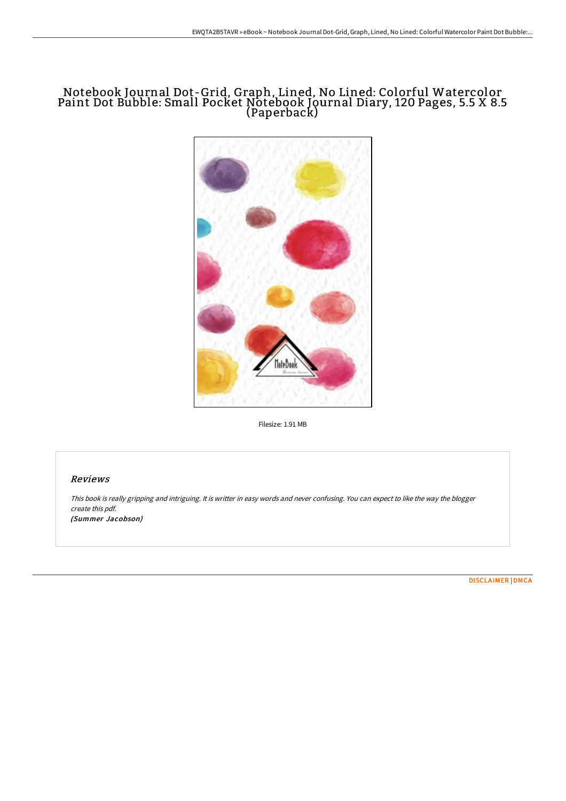## Notebook Journal Dot-Grid, Graph, Lined, No Lined: Colorful Watercolor Paint Dot Bubble: Small Pocket Notebook Journal Diary, 120 Pages, 5.5 X 8.5 (Paperback)



Filesize: 1.91 MB

## Reviews

This book is really gripping and intriguing. It is writter in easy words and never confusing. You can expect to like the way the blogger create this pdf.

(Summer Jacobson)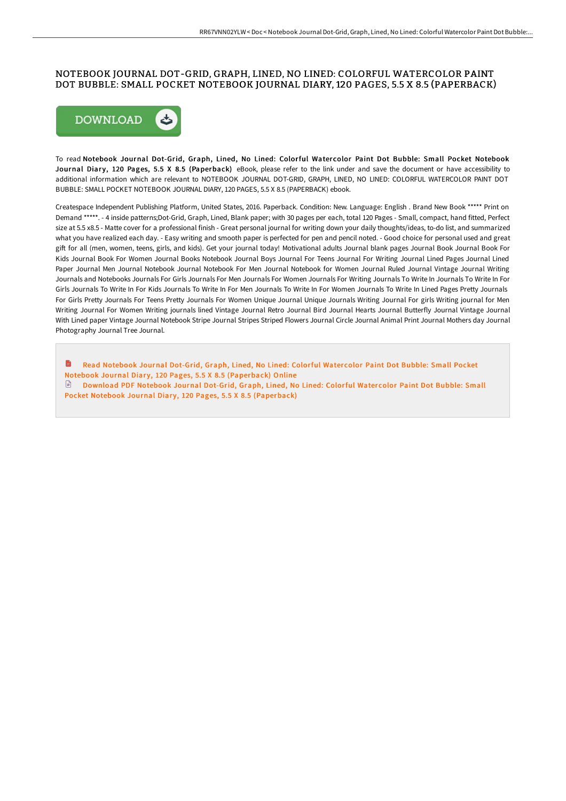## NOTEBOOK JOURNAL DOT-GRID, GRAPH, LINED, NO LINED: COLORFUL WATERCOLOR PAINT DOT BUBBLE: SMALL POCKET NOTEBOOK JOURNAL DIARY, 120 PAGES, 5.5 X 8.5 (PAPERBACK)



To read Notebook Journal Dot-Grid, Graph, Lined, No Lined: Colorful Water color Paint Dot Bubble: Small Pocket Notebook Journal Diary, 120 Pages, 5.5 X 8.5 (Paperback) eBook, please refer to the link under and save the document or have accessibility to additional information which are relevant to NOTEBOOK JOURNAL DOT-GRID, GRAPH, LINED, NO LINED: COLORFUL WATERCOLOR PAINT DOT BUBBLE: SMALL POCKET NOTEBOOK JOURNAL DIARY, 120 PAGES, 5.5 X 8.5 (PAPERBACK) ebook.

Createspace Independent Publishing Platform, United States, 2016. Paperback. Condition: New. Language: English . Brand New Book \*\*\*\*\* Print on Demand \*\*\*\*\*. - 4 inside patterns;Dot-Grid, Graph, Lined, Blank paper; with 30 pages per each, total 120 Pages - Small, compact, hand fitted, Perfect size at 5.5 x8.5 - Matte cover for a professional finish - Great personal journal for writing down your daily thoughts/ideas, to-do list, and summarized what you have realized each day. - Easy writing and smooth paper is perfected for pen and pencil noted. - Good choice for personal used and great gift for all (men, women, teens, girls, and kids). Get your journal today! Motivational adults Journal blank pages Journal Book Journal Book For Kids Journal Book For Women Journal Books Notebook Journal Boys Journal For Teens Journal For Writing Journal Lined Pages Journal Lined Paper Journal Men Journal Notebook Journal Notebook For Men Journal Notebook for Women Journal Ruled Journal Vintage Journal Writing Journals and Notebooks Journals For Girls Journals For Men Journals For Women Journals For Writing Journals To Write In Journals To Write In For Girls Journals To Write In For Kids Journals To Write In For Men Journals To Write In For Women Journals To Write In Lined Pages Pretty Journals For Girls Pretty Journals For Teens Pretty Journals For Women Unique Journal Unique Journals Writing Journal For girls Writing journal for Men Writing Journal For Women Writing journals lined Vintage Journal Retro Journal Bird Journal Hearts Journal Butterfly Journal Vintage Journal With Lined paper Vintage Journal Notebook Stripe Journal Stripes Striped Flowers Journal Circle Journal Animal Print Journal Mothers day Journal Photography Journal Tree Journal.

Read Notebook Journal Dot-Grid, Graph, Lined, No Lined: Colorful Water color Paint Dot Bubble: Small Pocket Notebook Journal Diary, 120 Pages, 5.5 X 8.5 [\(Paperback\)](http://albedo.media/notebook-journal-dot-grid-graph-lined-no-lined-c-21.html) Online Download PDF Notebook Journal Dot-Grid, Graph, Lined, No Lined: Colorful Watercolor Paint Dot Bubble: Small Pocket Notebook Journal Diary, 120 Pages, 5.5 X 8.5 [\(Paperback\)](http://albedo.media/notebook-journal-dot-grid-graph-lined-no-lined-c-21.html)